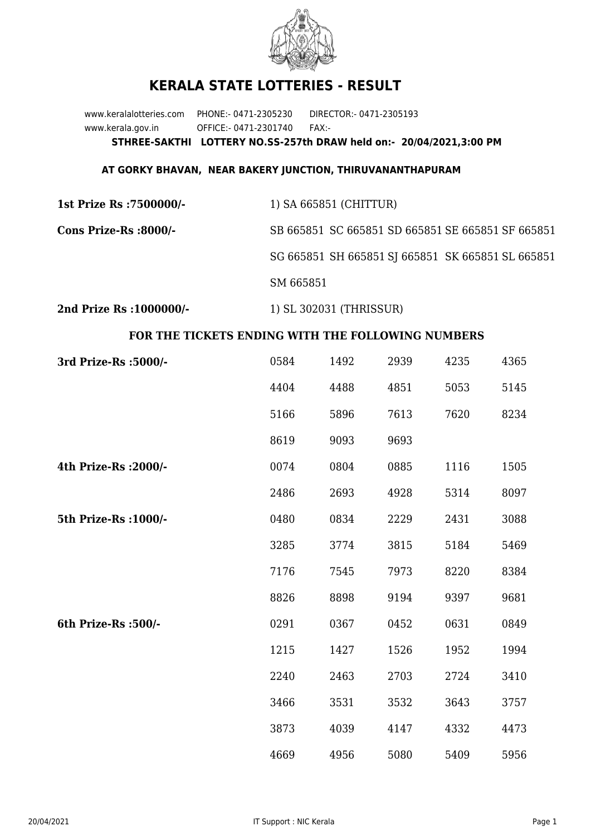

## **KERALA STATE LOTTERIES - RESULT**

www.keralalotteries.com PHONE:- 0471-2305230 DIRECTOR:- 0471-2305193 www.kerala.gov.in OFFICE:- 0471-2301740 FAX:- **STHREE-SAKTHI LOTTERY NO.SS-257th DRAW held on:- 20/04/2021,3:00 PM**

## **AT GORKY BHAVAN, NEAR BAKERY JUNCTION, THIRUVANANTHAPURAM**

| 1st Prize Rs :7500000/- | 1) SA 665851 (CHITTUR) |
|-------------------------|------------------------|
|-------------------------|------------------------|

**Cons Prize-Rs :8000/-** SB 665851 SC 665851 SD 665851 SE 665851 SF 665851 SG 665851 SH 665851 SJ 665851 SK 665851 SL 665851 SM 665851

**2nd Prize Rs :1000000/-** 1) SL 302031 (THRISSUR)

## **FOR THE TICKETS ENDING WITH THE FOLLOWING NUMBERS**

| 3rd Prize-Rs : 5000/- | 0584 | 1492 | 2939 | 4235 | 4365 |
|-----------------------|------|------|------|------|------|
|                       | 4404 | 4488 | 4851 | 5053 | 5145 |
|                       | 5166 | 5896 | 7613 | 7620 | 8234 |
|                       | 8619 | 9093 | 9693 |      |      |
| 4th Prize-Rs : 2000/- | 0074 | 0804 | 0885 | 1116 | 1505 |
|                       | 2486 | 2693 | 4928 | 5314 | 8097 |
| 5th Prize-Rs : 1000/- | 0480 | 0834 | 2229 | 2431 | 3088 |
|                       | 3285 | 3774 | 3815 | 5184 | 5469 |
|                       | 7176 | 7545 | 7973 | 8220 | 8384 |
|                       | 8826 | 8898 | 9194 | 9397 | 9681 |
| 6th Prize-Rs :500/-   | 0291 | 0367 | 0452 | 0631 | 0849 |
|                       | 1215 | 1427 | 1526 | 1952 | 1994 |
|                       | 2240 | 2463 | 2703 | 2724 | 3410 |
|                       | 3466 | 3531 | 3532 | 3643 | 3757 |
|                       | 3873 | 4039 | 4147 | 4332 | 4473 |
|                       | 4669 | 4956 | 5080 | 5409 | 5956 |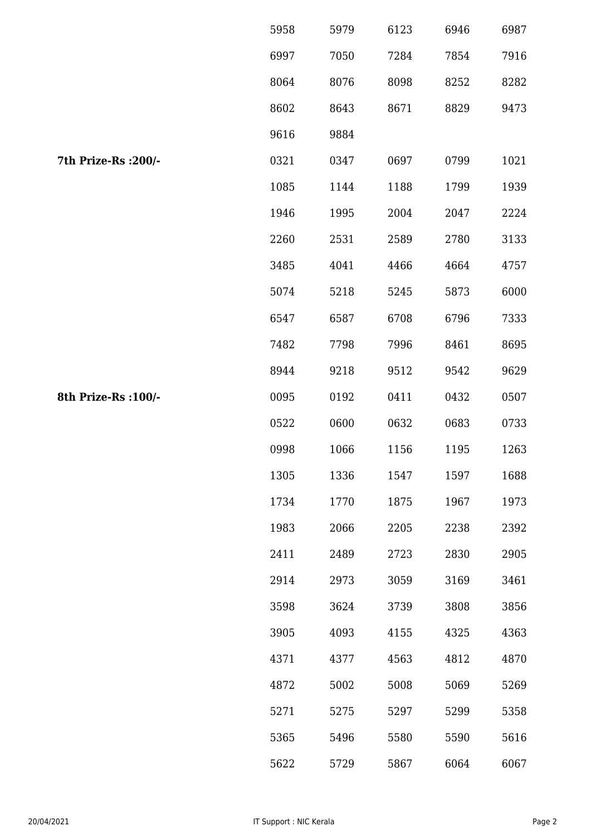|                      | 5958 | 5979 | 6123 | 6946 | 6987 |
|----------------------|------|------|------|------|------|
|                      | 6997 | 7050 | 7284 | 7854 | 7916 |
|                      | 8064 | 8076 | 8098 | 8252 | 8282 |
|                      | 8602 | 8643 | 8671 | 8829 | 9473 |
|                      | 9616 | 9884 |      |      |      |
| 7th Prize-Rs : 200/- | 0321 | 0347 | 0697 | 0799 | 1021 |
|                      | 1085 | 1144 | 1188 | 1799 | 1939 |
|                      | 1946 | 1995 | 2004 | 2047 | 2224 |
|                      | 2260 | 2531 | 2589 | 2780 | 3133 |
|                      | 3485 | 4041 | 4466 | 4664 | 4757 |
|                      | 5074 | 5218 | 5245 | 5873 | 6000 |
|                      | 6547 | 6587 | 6708 | 6796 | 7333 |
|                      | 7482 | 7798 | 7996 | 8461 | 8695 |
|                      | 8944 | 9218 | 9512 | 9542 | 9629 |
| 8th Prize-Rs : 100/- | 0095 | 0192 | 0411 | 0432 | 0507 |
|                      | 0522 | 0600 | 0632 | 0683 | 0733 |
|                      | 0998 | 1066 | 1156 | 1195 | 1263 |
|                      | 1305 | 1336 | 1547 | 1597 | 1688 |
|                      | 1734 | 1770 | 1875 | 1967 | 1973 |
|                      | 1983 | 2066 | 2205 | 2238 | 2392 |
|                      | 2411 | 2489 | 2723 | 2830 | 2905 |
|                      | 2914 | 2973 | 3059 | 3169 | 3461 |
|                      | 3598 | 3624 | 3739 | 3808 | 3856 |
|                      | 3905 | 4093 | 4155 | 4325 | 4363 |
|                      | 4371 | 4377 | 4563 | 4812 | 4870 |
|                      | 4872 | 5002 | 5008 | 5069 | 5269 |
|                      | 5271 | 5275 | 5297 | 5299 | 5358 |
|                      | 5365 | 5496 | 5580 | 5590 | 5616 |
|                      | 5622 | 5729 | 5867 | 6064 | 6067 |